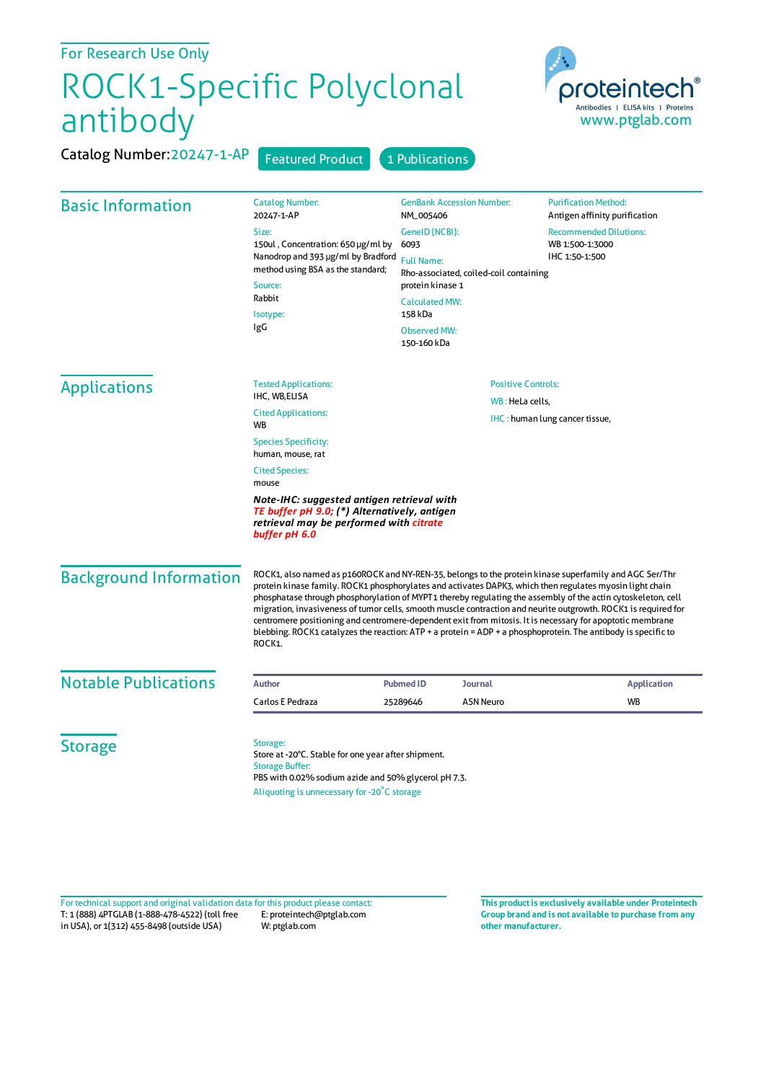| For Research Use Only         |                                                                                                                                                                                                                                                                                                                                                                                                                                                                                                                                                                                                                                                                                              |                                                                                                                                                                                                                                      |                  |                                                                    |
|-------------------------------|----------------------------------------------------------------------------------------------------------------------------------------------------------------------------------------------------------------------------------------------------------------------------------------------------------------------------------------------------------------------------------------------------------------------------------------------------------------------------------------------------------------------------------------------------------------------------------------------------------------------------------------------------------------------------------------------|--------------------------------------------------------------------------------------------------------------------------------------------------------------------------------------------------------------------------------------|------------------|--------------------------------------------------------------------|
| ROCK1-Specific Polyclonal     |                                                                                                                                                                                                                                                                                                                                                                                                                                                                                                                                                                                                                                                                                              |                                                                                                                                                                                                                                      |                  | proteintech®                                                       |
| antibody                      |                                                                                                                                                                                                                                                                                                                                                                                                                                                                                                                                                                                                                                                                                              |                                                                                                                                                                                                                                      |                  | Antibodies   ELISA kits   Proteins<br>www.ptglab.com               |
| Catalog Number: 20247-1-AP    | <b>Featured Product</b>                                                                                                                                                                                                                                                                                                                                                                                                                                                                                                                                                                                                                                                                      | 1 Publications                                                                                                                                                                                                                       |                  |                                                                    |
| <b>Basic Information</b>      | <b>Catalog Number:</b><br>20247-1-AP                                                                                                                                                                                                                                                                                                                                                                                                                                                                                                                                                                                                                                                         | <b>GenBank Accession Number:</b><br>NM_005406<br>GenelD (NCBI):<br>6093<br><b>Full Name:</b><br>Rho-associated, coiled-coil containing<br>protein kinase 1<br><b>Calculated MW:</b><br>158 kDa<br><b>Observed MW:</b><br>150-160 kDa |                  | <b>Purification Method:</b><br>Antigen affinity purification       |
|                               | Size:<br>150ul, Concentration: 650 µg/ml by<br>Nanodrop and 393 µg/ml by Bradford<br>method using BSA as the standard;<br>Source:                                                                                                                                                                                                                                                                                                                                                                                                                                                                                                                                                            |                                                                                                                                                                                                                                      |                  | <b>Recommended Dilutions:</b><br>WB 1:500-1:3000<br>IHC 1:50-1:500 |
|                               | Rabbit<br>Isotype:<br>IgG                                                                                                                                                                                                                                                                                                                                                                                                                                                                                                                                                                                                                                                                    |                                                                                                                                                                                                                                      |                  |                                                                    |
| <b>Applications</b>           | <b>Tested Applications:</b><br>IHC, WB,ELISA                                                                                                                                                                                                                                                                                                                                                                                                                                                                                                                                                                                                                                                 | <b>Positive Controls:</b>                                                                                                                                                                                                            |                  |                                                                    |
|                               | WB: HeLa cells,<br><b>Cited Applications:</b><br>WB                                                                                                                                                                                                                                                                                                                                                                                                                                                                                                                                                                                                                                          |                                                                                                                                                                                                                                      |                  | IHC: human lung cancer tissue,                                     |
|                               | <b>Species Specificity:</b><br>human, mouse, rat                                                                                                                                                                                                                                                                                                                                                                                                                                                                                                                                                                                                                                             |                                                                                                                                                                                                                                      |                  |                                                                    |
|                               | <b>Cited Species:</b><br>mouse                                                                                                                                                                                                                                                                                                                                                                                                                                                                                                                                                                                                                                                               |                                                                                                                                                                                                                                      |                  |                                                                    |
|                               | Note-IHC: suggested antigen retrieval with<br>TE buffer pH 9.0; (*) Alternatively, antigen<br>retrieval may be performed with citrate<br>buffer pH 6.0                                                                                                                                                                                                                                                                                                                                                                                                                                                                                                                                       |                                                                                                                                                                                                                                      |                  |                                                                    |
| <b>Background Information</b> | ROCK1, also named as p160ROCK and NY-REN-35, belongs to the protein kinase superfamily and AGC Ser/Thr<br>protein kinase family. ROCK1 phosphorylates and activates DAPK3, which then regulates myosin light chain<br>phosphatase through phosphorylation of MYPT1 thereby regulating the assembly of the actin cytoskeleton, cell<br>migration, invasiveness of tumor cells, smooth muscle contraction and neurite outgrowth. ROCK1 is required for<br>centromere positioning and centromere-dependent exit from mitosis. It is necessary for apoptotic membrane<br>blebbing. ROCK1 catalyzes the reaction: ATP + a protein = ADP + a phosphoprotein. The antibody is specific to<br>ROCK1. |                                                                                                                                                                                                                                      |                  |                                                                    |
| <b>Notable Publications</b>   | <b>Author</b>                                                                                                                                                                                                                                                                                                                                                                                                                                                                                                                                                                                                                                                                                | <b>Pubmed ID</b>                                                                                                                                                                                                                     | <b>Journal</b>   | <b>Application</b>                                                 |
|                               | Carlos E Pedraza                                                                                                                                                                                                                                                                                                                                                                                                                                                                                                                                                                                                                                                                             | 25289646                                                                                                                                                                                                                             | <b>ASN Neuro</b> | WB                                                                 |
| <b>Storage</b>                | Storage:<br>Store at -20°C. Stable for one year after shipment.<br><b>Storage Buffer:</b><br>PBS with 0.02% sodium azide and 50% glycerol pH 7.3.<br>Aliquoting is unnecessary for -20°C storage                                                                                                                                                                                                                                                                                                                                                                                                                                                                                             |                                                                                                                                                                                                                                      |                  |                                                                    |

T: 1 (888) 4PTGLAB (1-888-478-4522) (toll free E: proteintech@ptglab.com in USA), or 1(312) 455-8498 (outside USA) W: ptglab.com Fortechnical support and original validation data forthis product please contact: **This productis exclusively available under Proteintech**

**Group brand and is not available to purchase from any other manufacturer.**